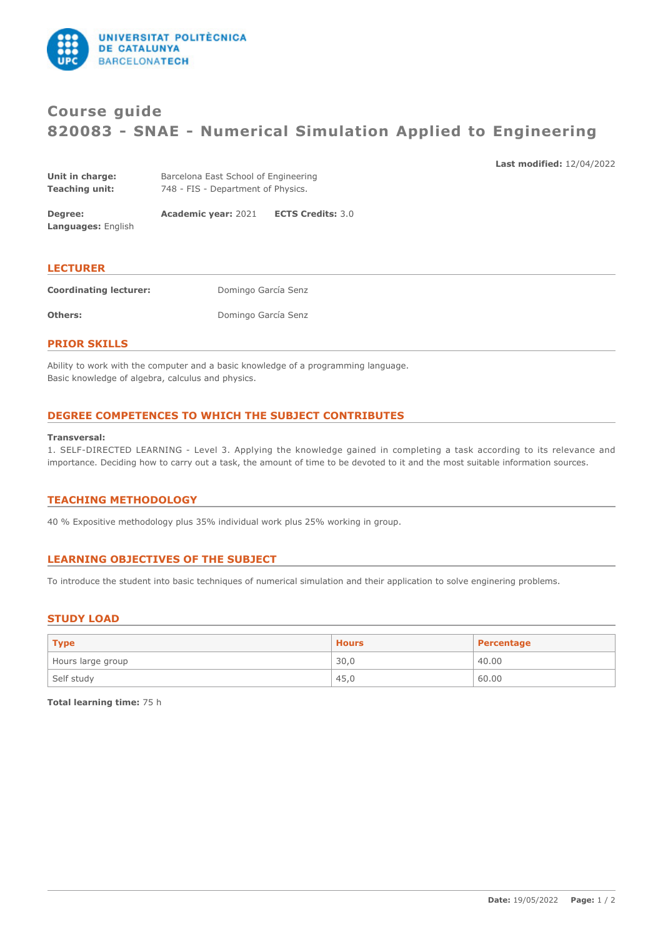

# **Course guide 820083 - SNAE - Numerical Simulation Applied to Engineering**

**Last modified:** 12/04/2022

| Degree:         | <b>Academic vear: 2021</b>           | <b>ECTS Credits: 3.0</b> |
|-----------------|--------------------------------------|--------------------------|
| Teaching unit:  | 748 - FIS - Department of Physics.   |                          |
| Unit in charge: | Barcelona East School of Engineering |                          |

**LECTURER Coordinating lecturer:** Domingo García Senz **Others:** Domingo García Senz

### **PRIOR SKILLS**

**Languages:** English

Ability to work with the computer and a basic knowledge of a programming language. Basic knowledge of algebra, calculus and physics.

# **DEGREE COMPETENCES TO WHICH THE SUBJECT CONTRIBUTES**

#### **Transversal:**

1. SELF-DIRECTED LEARNING - Level 3. Applying the knowledge gained in completing a task according to its relevance and importance. Deciding how to carry out a task, the amount of time to be devoted to it and the most suitable information sources.

# **TEACHING METHODOLOGY**

40 % Expositive methodology plus 35% individual work plus 25% working in group.

# **LEARNING OBJECTIVES OF THE SUBJECT**

To introduce the student into basic techniques of numerical simulation and their application to solve enginering problems.

# **STUDY LOAD**

| $ $ Type          | <b>Hours</b> | Percentage |
|-------------------|--------------|------------|
| Hours large group | 30,0         | 40.00      |
| Self study        | 45,0         | 60.00      |

**Total learning time:** 75 h